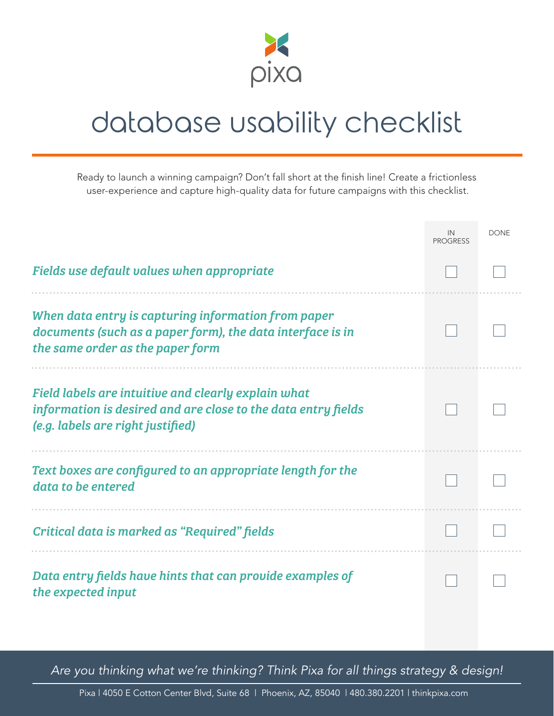

## database usability checklist

Ready to launch a winning campaign? Don't fall short at the finish line! Create a frictionless user-experience and capture high-quality data for future campaigns with this checklist.

|                                                                                                                                                           | IN<br><b>PROGRESS</b> | <b>DONE</b> |
|-----------------------------------------------------------------------------------------------------------------------------------------------------------|-----------------------|-------------|
| Fields use default values when appropriate                                                                                                                |                       |             |
| When data entry is capturing information from paper<br>documents (such as a paper form), the data interface is in<br>the same order as the paper form     |                       |             |
| Field labels are intuitive and clearly explain what<br>information is desired and are close to the data entry fields<br>(e.g. labels are right justified) |                       |             |
| Text boxes are configured to an appropriate length for the<br>data to be entered                                                                          |                       |             |
| Critical data is marked as "Required" fields                                                                                                              |                       |             |
| Data entry fields have hints that can provide examples of<br>the expected input                                                                           |                       |             |

*Are you thinking what we're thinking? Think Pixa for all things strategy & design!*

Pixa | 4050 E Cotton Center Blvd, Suite 68 | Phoenix, AZ, 85040 | 480.380.2201 | thinkpixa.com